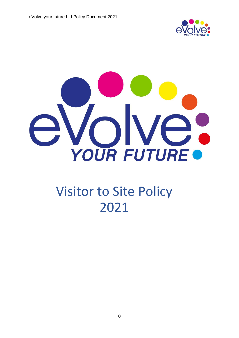



# Visitor to Site Policy 2021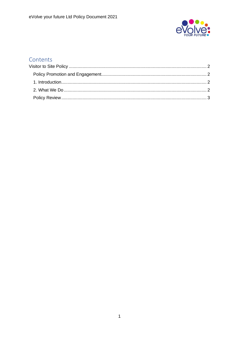

### Contents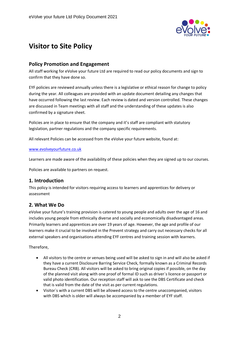

## <span id="page-2-0"></span>**Visitor to Site Policy**

#### <span id="page-2-1"></span>**Policy Promotion and Engagement**

All staff working for eVolve your future Ltd are required to read our policy documents and sign to confirm that they have done so.

EYF policies are reviewed annually unless there is a legislative or ethical reason for change to policy during the year. All colleagues are provided with an update document detailing any changes that have occurred following the last review. Each review is dated and version controlled. These changes are discussed in Team meetings with all staff and the understanding of these updates is also confirmed by a signature sheet.

Policies are in place to ensure that the company and it's staff are compliant with statutory legislation, partner regulations and the company specific requirements.

All relevant Policies can be accessed from the eVolve your future website, found at:

#### [www.evolveyourfuture.co.uk](http://www.evolveyourfuture.co.uk/)

Learners are made aware of the availability of these policies when they are signed up to our courses.

Policies are available to partners on request.

#### <span id="page-2-2"></span>**1. Introduction**

This policy is intended for visitors requiring access to learners and apprentices for delivery or assessment

#### <span id="page-2-3"></span>**2. What We Do**

eVolve your future's training provision is catered to young people and adults over the age of 16 and includes young people from ethnically diverse and socially and economically disadvantaged areas. Primarily learners and apprentices are over 19 years of age. However, the age and profile of our learners make it crucial to be involved in the Prevent strategy and carry out necessary checks for all external speakers and organisations attending EYF centres and training session with learners.

#### Therefore,

- All visitors to the centre or venues being used will be asked to sign in and will also be asked if they have a current Disclosure Barring Service Check, formally known as a Criminal Records Bureau Check (CRB). All visitors will be asked to bring original copies if possible, on the day of the planned visit along with one proof of formal ID such as driver`s licence or passport or valid photo identification. Our reception staff will ask to see the DBS Certificate and check that is valid from the date of the visit as per current regulations.
- Visitor`s with a current DBS will be allowed access to the centre unaccompanied, visitors with DBS which is older will always be accompanied by a member of EYF staff.